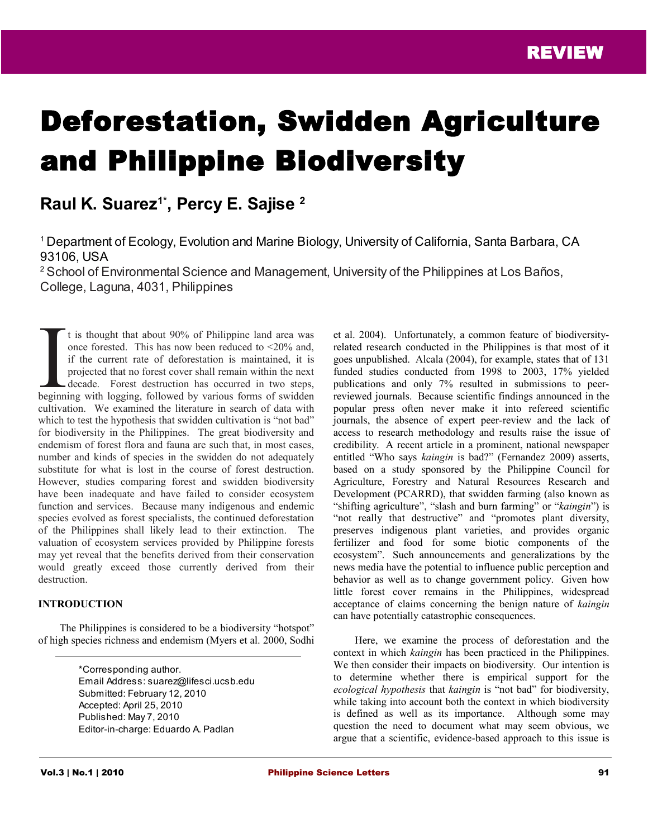# Deforestation, Swidden Agriculture and Philippine Biodiversity

# **Raul K. Suarez1\* , Percy E. Sajise <sup>2</sup>**

<sup>1</sup>Department of Ecology, Evolution and Marine Biology, University of California, Santa Barbara, CA 93106, USA

<sup>2</sup> School of Environmental Science and Management, University of the Philippines at Los Baños, College, Laguna, 4031, Philippines

t is thought that about 90% of Philippine land area was once forested. This has now been reduced to <20% and, if the current rate of deforestation is maintained, it is projected that no forest cover shall remain within the next decade. Forest destruction has occurred in two steps, t is thought that about 90% of Philippine land area was once forested. This has now been reduced to <20% and, if the current rate of deforestation is maintained, it is projected that no forest cover shall remain within the cultivation. We examined the literature in search of data with which to test the hypothesis that swidden cultivation is "not bad" for biodiversity in the Philippines. The great biodiversity and endemism of forest flora and fauna are such that, in most cases, number and kinds of species in the swidden do not adequately substitute for what is lost in the course of forest destruction. However, studies comparing forest and swidden biodiversity have been inadequate and have failed to consider ecosystem function and services. Because many indigenous and endemic species evolved as forest specialists, the continued deforestation of the Philippines shall likely lead to their extinction. The valuation of ecosystem services provided by Philippine forests may yet reveal that the benefits derived from their conservation would greatly exceed those currently derived from their destruction.

#### **INTRODUCTION**

The Philippines is considered to be a biodiversity "hotspot" of high species richness and endemism (Myers et al. 2000, Sodhi

> \*Corresponding author. Email Address: suarez@lifesci.ucsb.edu Submitted: February 12, 2010 Accepted: April 25, 2010 Published: May 7, 2010 Editor-in-charge: Eduardo A. Padlan

et al. 2004). Unfortunately, a common feature of biodiversityrelated research conducted in the Philippines is that most of it goes unpublished. Alcala (2004), for example, states that of 131 funded studies conducted from 1998 to 2003, 17% yielded publications and only 7% resulted in submissions to peerreviewed journals. Because scientific findings announced in the popular press often never make it into refereed scientific journals, the absence of expert peer-review and the lack of access to research methodology and results raise the issue of credibility. A recent article in a prominent, national newspaper entitled "Who says *kaingin* is bad?" (Fernandez 2009) asserts, based on a study sponsored by the Philippine Council for Agriculture, Forestry and Natural Resources Research and Development (PCARRD), that swidden farming (also known as "shifting agriculture", "slash and burn farming" or "*kaingin*") is "not really that destructive" and "promotes plant diversity, preserves indigenous plant varieties, and provides organic fertilizer and food for some biotic components of the ecosystem". Such announcements and generalizations by the news media have the potential to influence public perception and behavior as well as to change government policy. Given how little forest cover remains in the Philippines, widespread acceptance of claims concerning the benign nature of *kaingin* can have potentially catastrophic consequences.

Here, we examine the process of deforestation and the context in which *kaingin* has been practiced in the Philippines. We then consider their impacts on biodiversity. Our intention is to determine whether there is empirical support for the *ecological hypothesis* that *kaingin* is "not bad" for biodiversity, while taking into account both the context in which biodiversity is defined as well as its importance. Although some may question the need to document what may seem obvious, we argue that a scientific, evidence-based approach to this issue is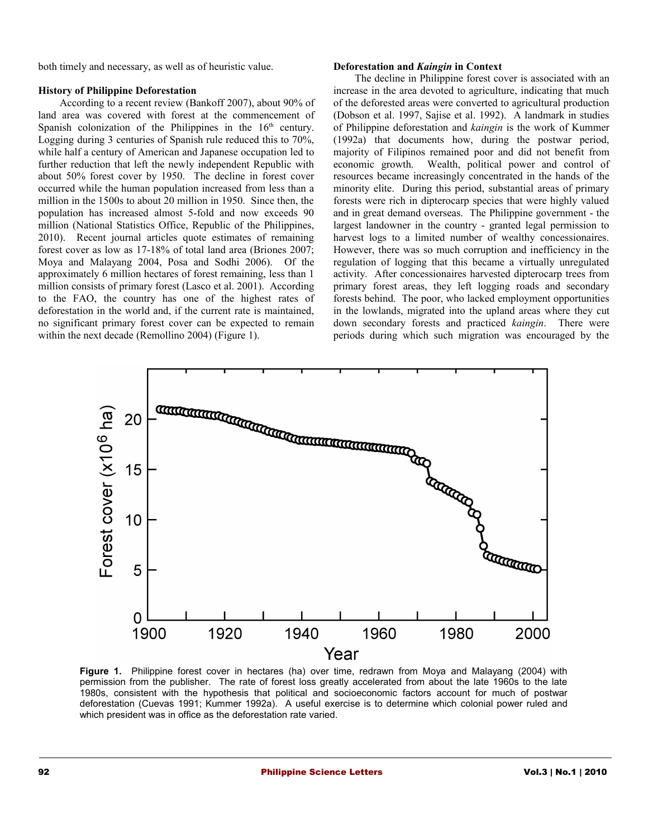both timely and necessary, as well as of heuristic value.

#### **History of Philippine Deforestation**

According to a recent review (Bankoff 2007), about 90% of land area was covered with forest at the commencement of Spanish colonization of the Philippines in the  $16<sup>th</sup>$  century. Logging during 3 centuries of Spanish rule reduced this to 70%, while half a century of American and Japanese occupation led to further reduction that left the newly independent Republic with about 50% forest cover by 1950. The decline in forest cover occurred while the human population increased from less than a million in the 1500s to about 20 million in 1950. Since then, the population has increased almost 5-fold and now exceeds 90 million (National Statistics Office, Republic of the Philippines, 2010). Recent journal articles quote estimates of remaining forest cover as low as 17-18% of total land area (Briones 2007; Moya and Malayang 2004, Posa and Sodhi 2006). Of the approximately 6 million hectares of forest remaining, less than 1 million consists of primary forest (Lasco et al. 2001). According to the FAO, the country has one of the highest rates of deforestation in the world and, if the current rate is maintained, no significant primary forest cover can be expected to remain within the next decade (Remollino 2004) (Figure 1).

#### **Deforestation and** *Kaingin* **in Context**

The decline in Philippine forest cover is associated with an increase in the area devoted to agriculture, indicating that much of the deforested areas were converted to agricultural production (Dobson et al. 1997, Sajise et al. 1992). A landmark in studies of Philippine deforestation and *kaingin* is the work of Kummer (1992a) that documents how, during the postwar period, majority of Filipinos remained poor and did not benefit from economic growth. Wealth, political power and control of resources became increasingly concentrated in the hands of the minority elite. During this period, substantial areas of primary forests were rich in dipterocarp species that were highly valued and in great demand overseas. The Philippine government - the largest landowner in the country - granted legal permission to harvest logs to a limited number of wealthy concessionaires. However, there was so much corruption and inefficiency in the regulation of logging that this became a virtually unregulated activity. After concessionaires harvested dipterocarp trees from primary forest areas, they left logging roads and secondary forests behind. The poor, who lacked employment opportunities in the lowlands, migrated into the upland areas where they cut down secondary forests and practiced *kaingin*. There were periods during which such migration was encouraged by the



Figure 1. Philippine forest cover in hectares (ha) over time, redrawn from Moya and Malayang (2004) with permission from the publisher. The rate of forest loss greatly accelerated from about the late 1960s to the late 1980s, consistent with the hypothesis that political and socioeconomic factors account for much of postwar deforestation (Cuevas 1991; Kummer 1992a). A useful exercise is to determine which colonial power ruled and which president was in office as the deforestation rate varied.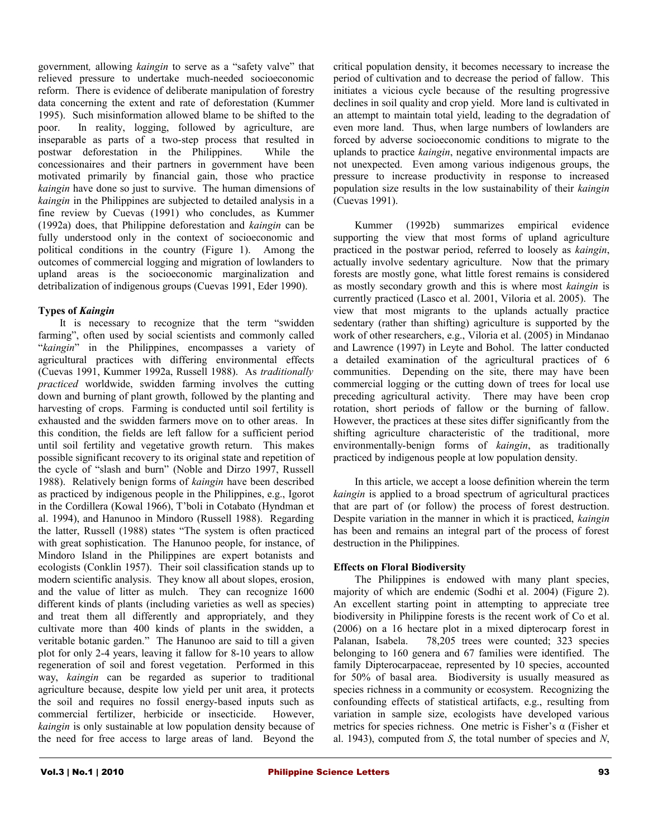government*,* allowing *kaingin* to serve as a "safety valve" that relieved pressure to undertake much-needed socioeconomic reform. There is evidence of deliberate manipulation of forestry data concerning the extent and rate of deforestation (Kummer 1995). Such misinformation allowed blame to be shifted to the poor. In reality, logging, followed by agriculture, are inseparable as parts of a two-step process that resulted in postwar deforestation in the Philippines. While the concessionaires and their partners in government have been motivated primarily by financial gain, those who practice *kaingin* have done so just to survive. The human dimensions of *kaingin* in the Philippines are subjected to detailed analysis in a fine review by Cuevas (1991) who concludes, as Kummer (1992a) does, that Philippine deforestation and *kaingin* can be fully understood only in the context of socioeconomic and political conditions in the country (Figure 1). Among the outcomes of commercial logging and migration of lowlanders to upland areas is the socioeconomic marginalization and detribalization of indigenous groups (Cuevas 1991, Eder 1990).

# **Types of** *Kaingin*

It is necessary to recognize that the term "swidden farming", often used by social scientists and commonly called "*kaingin*" in the Philippines, encompasses a variety of agricultural practices with differing environmental effects (Cuevas 1991, Kummer 1992a, Russell 1988). As *traditionally practiced* worldwide, swidden farming involves the cutting down and burning of plant growth, followed by the planting and harvesting of crops. Farming is conducted until soil fertility is exhausted and the swidden farmers move on to other areas. In this condition, the fields are left fallow for a sufficient period until soil fertility and vegetative growth return. This makes possible significant recovery to its original state and repetition of the cycle of "slash and burn" (Noble and Dirzo 1997, Russell 1988). Relatively benign forms of *kaingin* have been described as practiced by indigenous people in the Philippines, e.g., Igorot in the Cordillera (Kowal 1966), T'boli in Cotabato (Hyndman et al. 1994), and Hanunoo in Mindoro (Russell 1988). Regarding the latter, Russell (1988) states "The system is often practiced with great sophistication. The Hanunoo people, for instance, of Mindoro Island in the Philippines are expert botanists and ecologists (Conklin 1957). Their soil classification stands up to modern scientific analysis. They know all about slopes, erosion, and the value of litter as mulch. They can recognize 1600 different kinds of plants (including varieties as well as species) and treat them all differently and appropriately, and they cultivate more than 400 kinds of plants in the swidden, a veritable botanic garden." The Hanunoo are said to till a given plot for only 2-4 years, leaving it fallow for 8-10 years to allow regeneration of soil and forest vegetation. Performed in this way, *kaingin* can be regarded as superior to traditional agriculture because, despite low yield per unit area, it protects the soil and requires no fossil energy-based inputs such as commercial fertilizer, herbicide or insecticide. However, *kaingin* is only sustainable at low population density because of the need for free access to large areas of land. Beyond the

critical population density, it becomes necessary to increase the period of cultivation and to decrease the period of fallow. This initiates a vicious cycle because of the resulting progressive declines in soil quality and crop yield. More land is cultivated in an attempt to maintain total yield, leading to the degradation of even more land. Thus, when large numbers of lowlanders are forced by adverse socioeconomic conditions to migrate to the uplands to practice *kaingin*, negative environmental impacts are not unexpected. Even among various indigenous groups, the pressure to increase productivity in response to increased population size results in the low sustainability of their *kaingin* (Cuevas 1991).

Kummer (1992b) summarizes empirical evidence supporting the view that most forms of upland agriculture practiced in the postwar period, referred to loosely as *kaingin*, actually involve sedentary agriculture. Now that the primary forests are mostly gone, what little forest remains is considered as mostly secondary growth and this is where most *kaingin* is currently practiced (Lasco et al. 2001, Viloria et al. 2005). The view that most migrants to the uplands actually practice sedentary (rather than shifting) agriculture is supported by the work of other researchers, e.g., Viloria et al. (2005) in Mindanao and Lawrence (1997) in Leyte and Bohol. The latter conducted a detailed examination of the agricultural practices of 6 communities. Depending on the site, there may have been commercial logging or the cutting down of trees for local use preceding agricultural activity. There may have been crop rotation, short periods of fallow or the burning of fallow. However, the practices at these sites differ significantly from the shifting agriculture characteristic of the traditional, more environmentally-benign forms of *kaingin*, as traditionally practiced by indigenous people at low population density.

In this article, we accept a loose definition wherein the term *kaingin* is applied to a broad spectrum of agricultural practices that are part of (or follow) the process of forest destruction. Despite variation in the manner in which it is practiced, *kaingin* has been and remains an integral part of the process of forest destruction in the Philippines.

## **Effects on Floral Biodiversity**

The Philippines is endowed with many plant species, majority of which are endemic (Sodhi et al. 2004) (Figure 2). An excellent starting point in attempting to appreciate tree biodiversity in Philippine forests is the recent work of Co et al. (2006) on a 16 hectare plot in a mixed dipterocarp forest in Palanan, Isabela. 78,205 trees were counted; 323 species belonging to 160 genera and 67 families were identified. The family Dipterocarpaceae, represented by 10 species, accounted for 50% of basal area. Biodiversity is usually measured as species richness in a community or ecosystem. Recognizing the confounding effects of statistical artifacts, e.g., resulting from variation in sample size, ecologists have developed various metrics for species richness. One metric is Fisher's  $\alpha$  (Fisher et al. 1943), computed from *S*, the total number of species and *N*,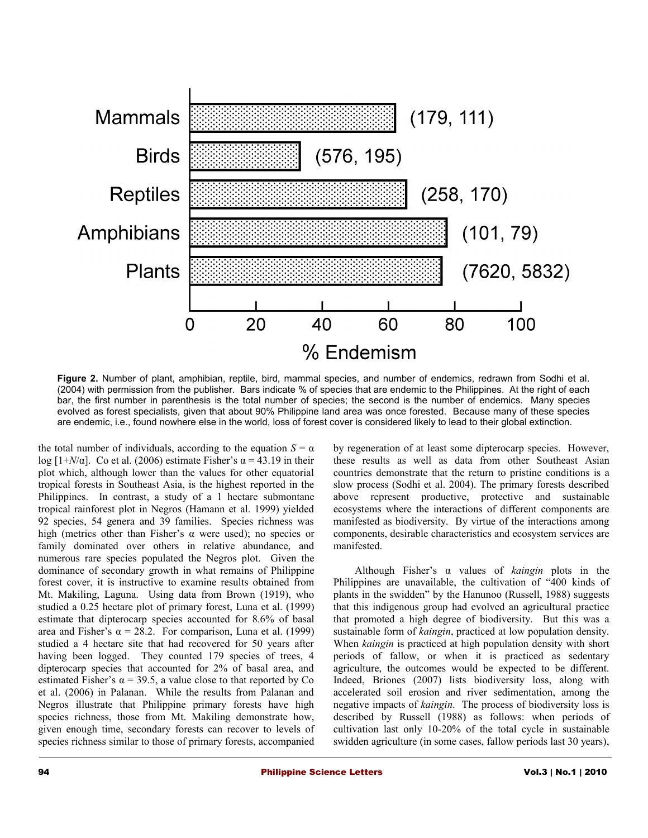

**Figure 2.** Number of plant, amphibian, reptile, bird, mammal species, and number of endemics, redrawn from Sodhi et al. (2004) with permission from the publisher. Bars indicate % of species that are endemic to the Philippines. At the right of each bar, the first number in parenthesis is the total number of species; the second is the number of endemics. Many species evolved as forest specialists, given that about 90% Philippine land area was once forested. Because many of these species are endemic, i.e., found nowhere else in the world, loss of forest cover is considered likely to lead to their global extinction.

the total number of individuals, according to the equation  $S = \alpha$ log  $[1+N/\alpha]$ . Co et al. (2006) estimate Fisher's  $\alpha = 43.19$  in their plot which, although lower than the values for other equatorial tropical forests in Southeast Asia, is the highest reported in the Philippines. In contrast, a study of a 1 hectare submontane tropical rainforest plot in Negros (Hamann et al. 1999) yielded 92 species, 54 genera and 39 families. Species richness was high (metrics other than Fisher's  $\alpha$  were used); no species or family dominated over others in relative abundance, and numerous rare species populated the Negros plot. Given the dominance of secondary growth in what remains of Philippine forest cover, it is instructive to examine results obtained from Mt. Makiling, Laguna. Using data from Brown (1919), who studied a 0.25 hectare plot of primary forest, Luna et al. (1999) estimate that dipterocarp species accounted for 8.6% of basal area and Fisher's  $\alpha = 28.2$ . For comparison, Luna et al. (1999) studied a 4 hectare site that had recovered for 50 years after having been logged. They counted 179 species of trees, 4 dipterocarp species that accounted for 2% of basal area, and estimated Fisher's  $\alpha$  = 39.5, a value close to that reported by Co et al. (2006) in Palanan. While the results from Palanan and Negros illustrate that Philippine primary forests have high species richness, those from Mt. Makiling demonstrate how, given enough time, secondary forests can recover to levels of species richness similar to those of primary forests, accompanied

by regeneration of at least some dipterocarp species. However, these results as well as data from other Southeast Asian countries demonstrate that the return to pristine conditions is a slow process (Sodhi et al. 2004). The primary forests described above represent productive, protective and sustainable ecosystems where the interactions of different components are manifested as biodiversity. By virtue of the interactions among components, desirable characteristics and ecosystem services are manifested.

Although Fisher's α values of *kaingin* plots in the Philippines are unavailable, the cultivation of "400 kinds of plants in the swidden" by the Hanunoo (Russell, 1988) suggests that this indigenous group had evolved an agricultural practice that promoted a high degree of biodiversity. But this was a sustainable form of *kaingin*, practiced at low population density. When *kaingin* is practiced at high population density with short periods of fallow, or when it is practiced as sedentary agriculture, the outcomes would be expected to be different. Indeed, Briones (2007) lists biodiversity loss, along with accelerated soil erosion and river sedimentation, among the negative impacts of *kaingin*. The process of biodiversity loss is described by Russell (1988) as follows: when periods of cultivation last only 10-20% of the total cycle in sustainable swidden agriculture (in some cases, fallow periods last 30 years),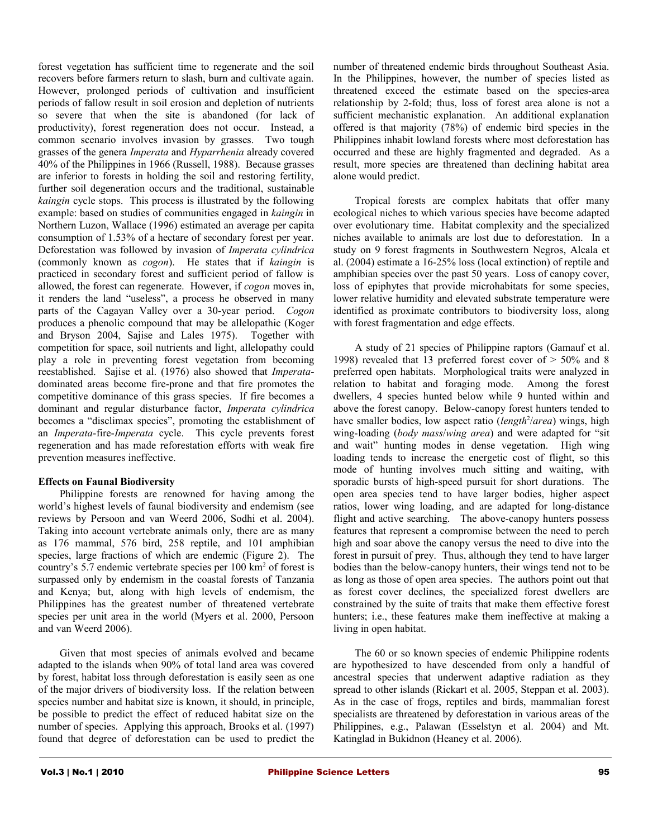forest vegetation has sufficient time to regenerate and the soil recovers before farmers return to slash, burn and cultivate again. However, prolonged periods of cultivation and insufficient periods of fallow result in soil erosion and depletion of nutrients so severe that when the site is abandoned (for lack of productivity), forest regeneration does not occur. Instead, a common scenario involves invasion by grasses. Two tough grasses of the genera *Imperata* and *Hyparrhenia* already covered 40% of the Philippines in 1966 (Russell, 1988). Because grasses are inferior to forests in holding the soil and restoring fertility, further soil degeneration occurs and the traditional, sustainable *kaingin* cycle stops. This process is illustrated by the following example: based on studies of communities engaged in *kaingin* in Northern Luzon, Wallace (1996) estimated an average per capita consumption of 1.53% of a hectare of secondary forest per year. Deforestation was followed by invasion of *Imperata cylindrica* (commonly known as *cogon*). He states that if *kaingin* is practiced in secondary forest and sufficient period of fallow is allowed, the forest can regenerate. However, if *cogon* moves in, it renders the land "useless", a process he observed in many parts of the Cagayan Valley over a 30-year period. *Cogon* produces a phenolic compound that may be allelopathic (Koger and Bryson 2004, Sajise and Lales 1975). Together with competition for space, soil nutrients and light, allelopathy could play a role in preventing forest vegetation from becoming reestablished. Sajise et al. (1976) also showed that *Imperata*dominated areas become fire-prone and that fire promotes the competitive dominance of this grass species. If fire becomes a dominant and regular disturbance factor, *Imperata cylindrica* becomes a "disclimax species", promoting the establishment of an *Imperata*-fire-*Imperata* cycle. This cycle prevents forest regeneration and has made reforestation efforts with weak fire prevention measures ineffective.

#### **Effects on Faunal Biodiversity**

Philippine forests are renowned for having among the world's highest levels of faunal biodiversity and endemism (see reviews by Persoon and van Weerd 2006, Sodhi et al. 2004). Taking into account vertebrate animals only, there are as many as 176 mammal, 576 bird, 258 reptile, and 101 amphibian species, large fractions of which are endemic (Figure 2). The country's 5.7 endemic vertebrate species per 100 km<sup>2</sup> of forest is surpassed only by endemism in the coastal forests of Tanzania and Kenya; but, along with high levels of endemism, the Philippines has the greatest number of threatened vertebrate species per unit area in the world (Myers et al. 2000, Persoon and van Weerd 2006).

Given that most species of animals evolved and became adapted to the islands when 90% of total land area was covered by forest, habitat loss through deforestation is easily seen as one of the major drivers of biodiversity loss. If the relation between species number and habitat size is known, it should, in principle, be possible to predict the effect of reduced habitat size on the number of species. Applying this approach, Brooks et al. (1997) found that degree of deforestation can be used to predict the

number of threatened endemic birds throughout Southeast Asia. In the Philippines, however, the number of species listed as threatened exceed the estimate based on the species-area relationship by 2-fold; thus, loss of forest area alone is not a sufficient mechanistic explanation. An additional explanation offered is that majority (78%) of endemic bird species in the Philippines inhabit lowland forests where most deforestation has occurred and these are highly fragmented and degraded. As a result, more species are threatened than declining habitat area alone would predict.

Tropical forests are complex habitats that offer many ecological niches to which various species have become adapted over evolutionary time. Habitat complexity and the specialized niches available to animals are lost due to deforestation. In a study on 9 forest fragments in Southwestern Negros, Alcala et al. (2004) estimate a 16-25% loss (local extinction) of reptile and amphibian species over the past 50 years. Loss of canopy cover, loss of epiphytes that provide microhabitats for some species, lower relative humidity and elevated substrate temperature were identified as proximate contributors to biodiversity loss, along with forest fragmentation and edge effects.

A study of 21 species of Philippine raptors (Gamauf et al. 1998) revealed that 13 preferred forest cover of > 50% and 8 preferred open habitats. Morphological traits were analyzed in relation to habitat and foraging mode. Among the forest dwellers, 4 species hunted below while 9 hunted within and above the forest canopy. Below-canopy forest hunters tended to have smaller bodies, low aspect ratio (*length<sup>2</sup>/area*) wings, high wing-loading (*body mass*/*wing area*) and were adapted for "sit and wait" hunting modes in dense vegetation. High wing loading tends to increase the energetic cost of flight, so this mode of hunting involves much sitting and waiting, with sporadic bursts of high-speed pursuit for short durations. The open area species tend to have larger bodies, higher aspect ratios, lower wing loading, and are adapted for long-distance flight and active searching. The above-canopy hunters possess features that represent a compromise between the need to perch high and soar above the canopy versus the need to dive into the forest in pursuit of prey. Thus, although they tend to have larger bodies than the below-canopy hunters, their wings tend not to be as long as those of open area species. The authors point out that as forest cover declines, the specialized forest dwellers are constrained by the suite of traits that make them effective forest hunters; i.e., these features make them ineffective at making a living in open habitat.

The 60 or so known species of endemic Philippine rodents are hypothesized to have descended from only a handful of ancestral species that underwent adaptive radiation as they spread to other islands (Rickart et al. 2005, Steppan et al. 2003). As in the case of frogs, reptiles and birds, mammalian forest specialists are threatened by deforestation in various areas of the Philippines, e.g., Palawan (Esselstyn et al. 2004) and Mt. Katinglad in Bukidnon (Heaney et al. 2006).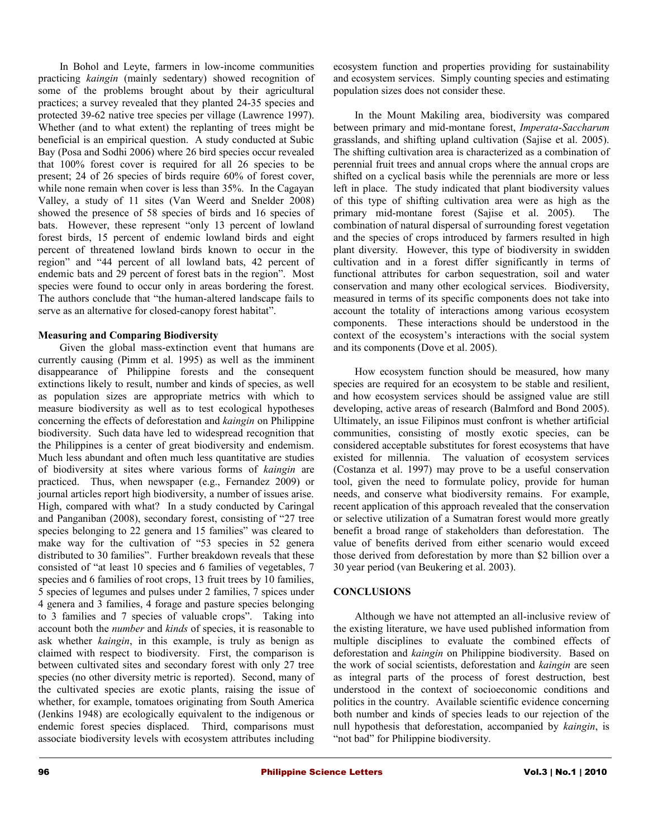In Bohol and Leyte, farmers in low-income communities practicing *kaingin* (mainly sedentary) showed recognition of some of the problems brought about by their agricultural practices; a survey revealed that they planted 24-35 species and protected 39-62 native tree species per village (Lawrence 1997). Whether (and to what extent) the replanting of trees might be beneficial is an empirical question. A study conducted at Subic Bay (Posa and Sodhi 2006) where 26 bird species occur revealed that 100% forest cover is required for all 26 species to be present; 24 of 26 species of birds require 60% of forest cover, while none remain when cover is less than 35%. In the Cagayan Valley, a study of 11 sites (Van Weerd and Snelder 2008) showed the presence of 58 species of birds and 16 species of bats. However, these represent "only 13 percent of lowland forest birds, 15 percent of endemic lowland birds and eight percent of threatened lowland birds known to occur in the region" and "44 percent of all lowland bats, 42 percent of endemic bats and 29 percent of forest bats in the region". Most species were found to occur only in areas bordering the forest. The authors conclude that "the human-altered landscape fails to serve as an alternative for closed-canopy forest habitat".

#### **Measuring and Comparing Biodiversity**

Given the global mass-extinction event that humans are currently causing (Pimm et al. 1995) as well as the imminent disappearance of Philippine forests and the consequent extinctions likely to result, number and kinds of species, as well as population sizes are appropriate metrics with which to measure biodiversity as well as to test ecological hypotheses concerning the effects of deforestation and *kaingin* on Philippine biodiversity. Such data have led to widespread recognition that the Philippines is a center of great biodiversity and endemism. Much less abundant and often much less quantitative are studies of biodiversity at sites where various forms of *kaingin* are practiced. Thus, when newspaper (e.g., Fernandez 2009) or journal articles report high biodiversity, a number of issues arise. High, compared with what? In a study conducted by Caringal and Panganiban (2008), secondary forest, consisting of "27 tree species belonging to 22 genera and 15 families" was cleared to make way for the cultivation of "53 species in 52 genera distributed to 30 families". Further breakdown reveals that these consisted of "at least 10 species and 6 families of vegetables, 7 species and 6 families of root crops, 13 fruit trees by 10 families, 5 species of legumes and pulses under 2 families, 7 spices under 4 genera and 3 families, 4 forage and pasture species belonging to 3 families and 7 species of valuable crops". Taking into account both the *number* and *kinds* of species, it is reasonable to ask whether *kaingin*, in this example, is truly as benign as claimed with respect to biodiversity. First, the comparison is between cultivated sites and secondary forest with only 27 tree species (no other diversity metric is reported). Second, many of the cultivated species are exotic plants, raising the issue of whether, for example, tomatoes originating from South America (Jenkins 1948) are ecologically equivalent to the indigenous or endemic forest species displaced. Third, comparisons must associate biodiversity levels with ecosystem attributes including

ecosystem function and properties providing for sustainability and ecosystem services. Simply counting species and estimating population sizes does not consider these.

In the Mount Makiling area, biodiversity was compared between primary and mid-montane forest, *Imperata*-*Saccharum* grasslands, and shifting upland cultivation (Sajise et al. 2005). The shifting cultivation area is characterized as a combination of perennial fruit trees and annual crops where the annual crops are shifted on a cyclical basis while the perennials are more or less left in place. The study indicated that plant biodiversity values of this type of shifting cultivation area were as high as the primary mid-montane forest (Sajise et al. 2005). The combination of natural dispersal of surrounding forest vegetation and the species of crops introduced by farmers resulted in high plant diversity. However, this type of biodiversity in swidden cultivation and in a forest differ significantly in terms of functional attributes for carbon sequestration, soil and water conservation and many other ecological services. Biodiversity, measured in terms of its specific components does not take into account the totality of interactions among various ecosystem components. These interactions should be understood in the context of the ecosystem's interactions with the social system and its components (Dove et al. 2005).

How ecosystem function should be measured, how many species are required for an ecosystem to be stable and resilient, and how ecosystem services should be assigned value are still developing, active areas of research (Balmford and Bond 2005). Ultimately, an issue Filipinos must confront is whether artificial communities, consisting of mostly exotic species, can be considered acceptable substitutes for forest ecosystems that have existed for millennia. The valuation of ecosystem services (Costanza et al. 1997) may prove to be a useful conservation tool, given the need to formulate policy, provide for human needs, and conserve what biodiversity remains. For example, recent application of this approach revealed that the conservation or selective utilization of a Sumatran forest would more greatly benefit a broad range of stakeholders than deforestation. The value of benefits derived from either scenario would exceed those derived from deforestation by more than \$2 billion over a 30 year period (van Beukering et al. 2003).

## **CONCLUSIONS**

Although we have not attempted an all-inclusive review of the existing literature, we have used published information from multiple disciplines to evaluate the combined effects of deforestation and *kaingin* on Philippine biodiversity. Based on the work of social scientists, deforestation and *kaingin* are seen as integral parts of the process of forest destruction, best understood in the context of socioeconomic conditions and politics in the country. Available scientific evidence concerning both number and kinds of species leads to our rejection of the null hypothesis that deforestation, accompanied by *kaingin*, is "not bad" for Philippine biodiversity.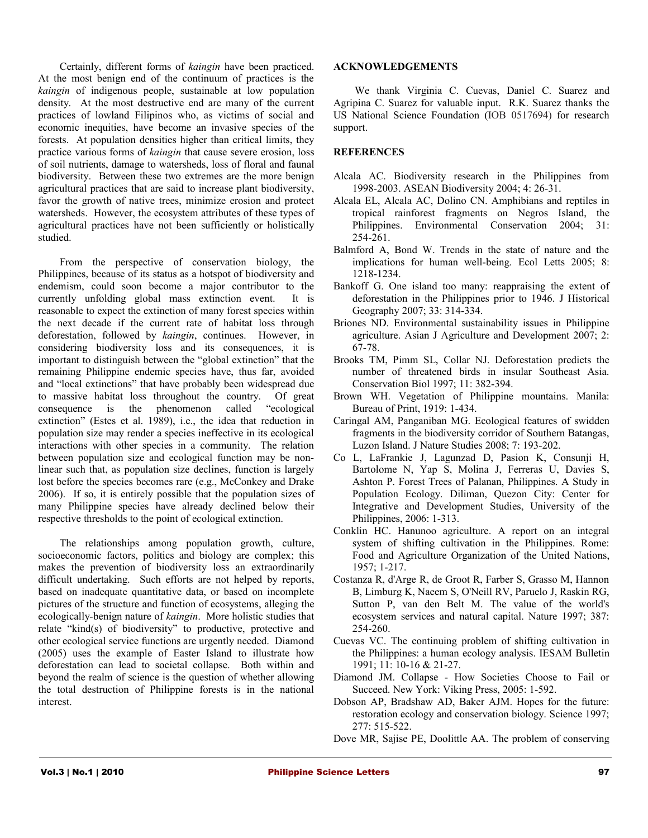Certainly, different forms of *kaingin* have been practiced. At the most benign end of the continuum of practices is the *kaingin* of indigenous people, sustainable at low population density. At the most destructive end are many of the current practices of lowland Filipinos who, as victims of social and economic inequities, have become an invasive species of the forests. At population densities higher than critical limits, they practice various forms of *kaingin* that cause severe erosion, loss of soil nutrients, damage to watersheds, loss of floral and faunal biodiversity. Between these two extremes are the more benign agricultural practices that are said to increase plant biodiversity, favor the growth of native trees, minimize erosion and protect watersheds. However, the ecosystem attributes of these types of agricultural practices have not been sufficiently or holistically studied.

From the perspective of conservation biology, the Philippines, because of its status as a hotspot of biodiversity and endemism, could soon become a major contributor to the currently unfolding global mass extinction event. It is reasonable to expect the extinction of many forest species within the next decade if the current rate of habitat loss through deforestation, followed by *kaingin*, continues. However, in considering biodiversity loss and its consequences, it is important to distinguish between the "global extinction" that the remaining Philippine endemic species have, thus far, avoided and "local extinctions" that have probably been widespread due to massive habitat loss throughout the country. Of great consequence is the phenomenon called "ecological" consequence is the phenomenon called extinction" (Estes et al. 1989), i.e., the idea that reduction in population size may render a species ineffective in its ecological interactions with other species in a community. The relation between population size and ecological function may be nonlinear such that, as population size declines, function is largely lost before the species becomes rare (e.g., McConkey and Drake 2006). If so, it is entirely possible that the population sizes of many Philippine species have already declined below their respective thresholds to the point of ecological extinction.

The relationships among population growth, culture, socioeconomic factors, politics and biology are complex; this makes the prevention of biodiversity loss an extraordinarily difficult undertaking. Such efforts are not helped by reports, based on inadequate quantitative data, or based on incomplete pictures of the structure and function of ecosystems, alleging the ecologically-benign nature of *kaingin*. More holistic studies that relate "kind(s) of biodiversity" to productive, protective and other ecological service functions are urgently needed. Diamond (2005) uses the example of Easter Island to illustrate how deforestation can lead to societal collapse. Both within and beyond the realm of science is the question of whether allowing the total destruction of Philippine forests is in the national interest.

#### **ACKNOWLEDGEMENTS**

We thank Virginia C. Cuevas, Daniel C. Suarez and Agripina C. Suarez for valuable input. R.K. Suarez thanks the US National Science Foundation (IOB 0517694) for research support.

# **REFERENCES**

- Alcala AC. Biodiversity research in the Philippines from 1998-2003. ASEAN Biodiversity 2004; 4: 26-31.
- Alcala EL, Alcala AC, Dolino CN. Amphibians and reptiles in tropical rainforest fragments on Negros Island, the Philippines. Environmental Conservation 2004; 31: 254-261.
- Balmford A, Bond W. Trends in the state of nature and the implications for human well-being. Ecol Letts 2005; 8: 1218-1234.
- Bankoff G. One island too many: reappraising the extent of deforestation in the Philippines prior to 1946. J Historical Geography 2007; 33: 314-334.
- Briones ND. Environmental sustainability issues in Philippine agriculture. Asian J Agriculture and Development 2007; 2: 67-78.
- Brooks TM, Pimm SL, Collar NJ. Deforestation predicts the number of threatened birds in insular Southeast Asia. Conservation Biol 1997; 11: 382-394.
- Brown WH. Vegetation of Philippine mountains. Manila: Bureau of Print, 1919: 1-434.
- Caringal AM, Panganiban MG. Ecological features of swidden fragments in the biodiversity corridor of Southern Batangas, Luzon Island. J Nature Studies 2008; 7: 193-202.
- Co L, LaFrankie J, Lagunzad D, Pasion K, Consunji H, Bartolome N, Yap S, Molina J, Ferreras U, Davies S, Ashton P. Forest Trees of Palanan, Philippines. A Study in Population Ecology. Diliman, Quezon City: Center for Integrative and Development Studies, University of the Philippines, 2006: 1-313.
- Conklin HC. Hanunoo agriculture. A report on an integral system of shifting cultivation in the Philippines. Rome: Food and Agriculture Organization of the United Nations, 1957; 1-217.
- Costanza R, d'Arge R, de Groot R, Farber S, Grasso M, Hannon B, Limburg K, Naeem S, O'Neill RV, Paruelo J, Raskin RG, Sutton P, van den Belt M. The value of the world's ecosystem services and natural capital. Nature 1997; 387: 254-260.
- Cuevas VC. The continuing problem of shifting cultivation in the Philippines: a human ecology analysis. IESAM Bulletin 1991; 11: 10-16 & 21-27.
- Diamond JM. Collapse How Societies Choose to Fail or Succeed. New York: Viking Press, 2005: 1-592.
- Dobson AP, Bradshaw AD, Baker AJM. Hopes for the future: restoration ecology and conservation biology. Science 1997; 277: 515-522.
- Dove MR, Sajise PE, Doolittle AA. The problem of conserving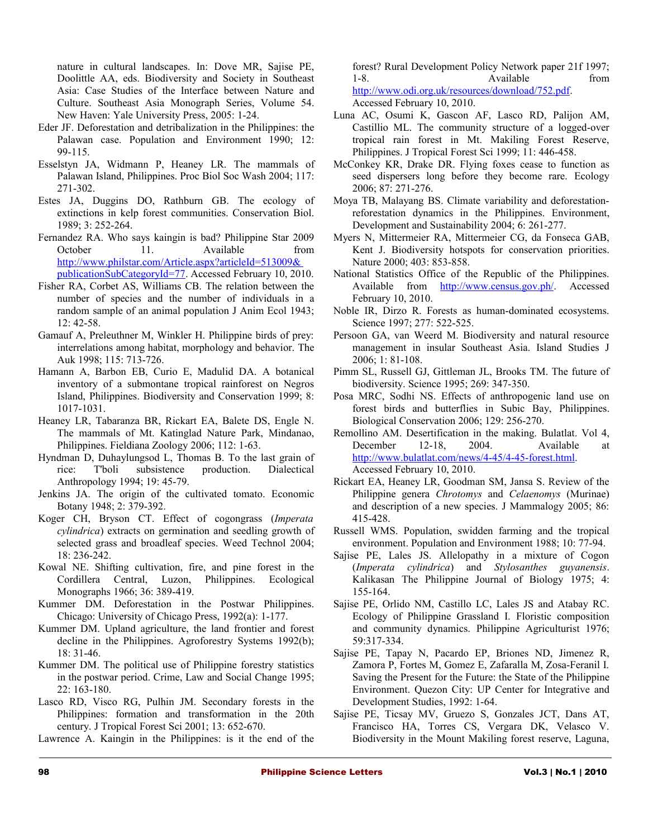nature in cultural landscapes. In: Dove MR, Sajise PE, Doolittle AA, eds. Biodiversity and Society in Southeast Asia: Case Studies of the Interface between Nature and Culture. Southeast Asia Monograph Series, Volume 54. New Haven: Yale University Press, 2005: 1-24.

- Eder JF. Deforestation and detribalization in the Philippines: the Palawan case. Population and Environment 1990; 12: 99-115.
- Esselstyn JA, Widmann P, Heaney LR. The mammals of Palawan Island, Philippines. Proc Biol Soc Wash 2004; 117: 271-302.
- Estes JA, Duggins DO, Rathburn GB. The ecology of extinctions in kelp forest communities. Conservation Biol. 1989; 3: 252-264.
- Fernandez RA. Who says kaingin is bad? Philippine Star 2009 October 11. Available from <http://www.philstar.com/Article.aspx?articleId=513009&> publicationSubCategoryId=77. Accessed February 10, 2010.
- Fisher RA, Corbet AS, Williams CB. The relation between the number of species and the number of individuals in a random sample of an animal population J Anim Ecol 1943; 12: 42-58.
- Gamauf A, Preleuthner M, Winkler H. Philippine birds of prey: interrelations among habitat, morphology and behavior. The Auk 1998; 115: 713-726.
- Hamann A, Barbon EB, Curio E, Madulid DA. A botanical inventory of a submontane tropical rainforest on Negros Island, Philippines. Biodiversity and Conservation 1999; 8: 1017-1031.
- Heaney LR, Tabaranza BR, Rickart EA, Balete DS, Engle N. The mammals of Mt. Katinglad Nature Park, Mindanao, Philippines. Fieldiana Zoology 2006; 112: 1-63.
- Hyndman D, Duhaylungsod L, Thomas B. To the last grain of rice: T'boli subsistence production. Dialectical Anthropology 1994; 19: 45-79.
- Jenkins JA. The origin of the cultivated tomato. Economic Botany 1948; 2: 379-392.
- Koger CH, Bryson CT. Effect of cogongrass (*Imperata cylindrica*) extracts on germination and seedling growth of selected grass and broadleaf species. Weed Technol 2004; 18: 236-242.
- Kowal NE. Shifting cultivation, fire, and pine forest in the Cordillera Central, Luzon, Philippines. Ecological Monographs 1966; 36: 389-419.
- Kummer DM. Deforestation in the Postwar Philippines. Chicago: University of Chicago Press, 1992(a): 1-177.
- Kummer DM. Upland agriculture, the land frontier and forest decline in the Philippines. Agroforestry Systems 1992(b); 18: 31-46.
- Kummer DM. The political use of Philippine forestry statistics in the postwar period. Crime, Law and Social Change 1995; 22: 163-180.
- Lasco RD, Visco RG, Pulhin JM. Secondary forests in the Philippines: formation and transformation in the 20th century. J Tropical Forest Sci 2001; 13: 652-670.
- Lawrence A. Kaingin in the Philippines: is it the end of the

forest? Rural Development Policy Network paper 21f 1997; 1-8. Available from http://www.odi.org.uk/resources/download/752.pdf. Accessed February 10, 2010.

- Luna AC, Osumi K, Gascon AF, Lasco RD, Palijon AM, Castillio ML. The community structure of a logged-over tropical rain forest in Mt. Makiling Forest Reserve, Philippines. J Tropical Forest Sci 1999; 11: 446-458.
- McConkey KR, Drake DR. Flying foxes cease to function as seed dispersers long before they become rare. Ecology 2006; 87: 271-276.
- Moya TB, Malayang BS. Climate variability and deforestationreforestation dynamics in the Philippines. Environment, Development and Sustainability 2004; 6: 261-277.
- Myers N, Mittermeier RA, Mittermeier CG, da Fonseca GAB, Kent J. Biodiversity hotspots for conservation priorities. Nature 2000; 403: 853-858.
- National Statistics Office of the Republic of the Philippines. Available from [http://www.census.gov.ph/.](http://www.census.gov.ph/) Accessed February 10, 2010.
- Noble IR, Dirzo R. Forests as human-dominated ecosystems. Science 1997; 277: 522-525.
- Persoon GA, van Weerd M. Biodiversity and natural resource management in insular Southeast Asia. Island Studies J 2006; 1: 81-108.
- Pimm SL, Russell GJ, Gittleman JL, Brooks TM. The future of biodiversity. Science 1995; 269: 347-350.
- Posa MRC, Sodhi NS. Effects of anthropogenic land use on forest birds and butterflies in Subic Bay, Philippines. Biological Conservation 2006; 129: 256-270.
- Remollino AM. Desertification in the making. Bulatlat. Vol 4, December 12-18, 2004. Available at [http://www.bulatlat.com/news/4-45/4-45-forest.html.](http://www.bulatlat.com/news/4-45/4-45-forest.html) Accessed February 10, 2010.
- Rickart EA, Heaney LR, Goodman SM, Jansa S. Review of the Philippine genera *Chrotomys* and *Celaenomys* (Murinae) and description of a new species. J Mammalogy 2005; 86: 415-428.
- Russell WMS. Population, swidden farming and the tropical environment. Population and Environment 1988; 10: 77-94.
- Sajise PE, Lales JS. Allelopathy in a mixture of Cogon (*Imperata cylindrica*) and *Stylosanthes guyanensis*. Kalikasan The Philippine Journal of Biology 1975; 4: 155-164.
- Sajise PE, Orlido NM, Castillo LC, Lales JS and Atabay RC. Ecology of Philippine Grassland I. Floristic composition and community dynamics. Philippine Agriculturist 1976; 59:317-334.
- Sajise PE, Tapay N, Pacardo EP, Briones ND, Jimenez R, Zamora P, Fortes M, Gomez E, Zafaralla M, Zosa-Feranil I. Saving the Present for the Future: the State of the Philippine Environment. Quezon City: UP Center for Integrative and Development Studies, 1992: 1-64.
- Sajise PE, Ticsay MV, Gruezo S, Gonzales JCT, Dans AT, Francisco HA, Torres CS, Vergara DK, Velasco V. Biodiversity in the Mount Makiling forest reserve, Laguna,